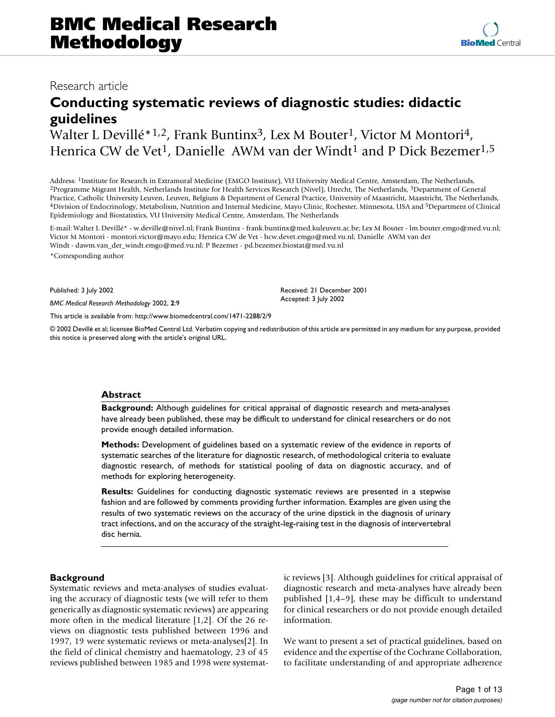# **Conducting systematic reviews of diagnostic studies: didactic guidelines**

Walter L Devillé<sup>\* 1,2</sup>, Frank Buntinx<sup>3</sup>, Lex M Bouter<sup>1</sup>, Victor M Montori<sup>4</sup>, Henrica CW de Vet<sup>1</sup>, Danielle AWM van der Windt<sup>1</sup> and P Dick Bezemer<sup>1,5</sup>

Address: <sup>1</sup>Institute for Research in Extramural Medicine (EMGO Institute), VU University Medical Centre, Amsterdam, The Netherlands,<br><sup>2</sup>Programme Migrant Health, Netherlands Institute for Health Services Research (Nivel), Practice, Catholic University Leuven, Leuven, Belgium & Department of General Practice, University of Maastricht, Maastricht, The Netherlands,<br><sup>4</sup>Division of Endocrinology, Metabolism, Nutrition and Internal Medicine, Mayo Epidemiology and Biostatistics, VU University Medical Centre, Amsterdam, The Netherlands

E-mail: Walter L Devillé\* - w.deville@nivel.nl; Frank Buntinx - frank.buntinx@med.kuleuven.ac.be; Lex M Bouter - lm.bouter.emgo@med.vu.nl; Victor M Montori - montori.victor@mayo.edu; Henrica CW de Vet - hcw.devet.emgo@med.vu.nl; Danielle AWM van der Windt - dawm.van\_der\_windt.emgo@med.vu.nl; P Bezemer - pd.bezemer.biostat@med.vu.nl \*Corresponding author

Published: 3 July 2002

*BMC Medical Research Methodology* 2002, **2**:9

[This article is available from: http://www.biomedcentral.com/1471-2288/2/9](http://www.biomedcentral.com/1471-2288/2/9)

© 2002 Devillé et al; licensee BioMed Central Ltd. Verbatim copying and redistribution of this article are permitted in any medium for any purpose, provided this notice is preserved along with the article's original URL.

## **Abstract**

**Background:** Although guidelines for critical appraisal of diagnostic research and meta-analyses have already been published, these may be difficult to understand for clinical researchers or do not provide enough detailed information.

**Methods:** Development of guidelines based on a systematic review of the evidence in reports of systematic searches of the literature for diagnostic research, of methodological criteria to evaluate diagnostic research, of methods for statistical pooling of data on diagnostic accuracy, and of methods for exploring heterogeneity.

**Results:** Guidelines for conducting diagnostic systematic reviews are presented in a stepwise fashion and are followed by comments providing further information. Examples are given using the results of two systematic reviews on the accuracy of the urine dipstick in the diagnosis of urinary tract infections, and on the accuracy of the straight-leg-raising test in the diagnosis of intervertebral disc hernia.

# **Background**

Systematic reviews and meta-analyses of studies evaluating the accuracy of diagnostic tests (we will refer to them generically as diagnostic systematic reviews) are appearing more often in the medical literature [1,2]. Of the 26 reviews on diagnostic tests published between 1996 and 1997, 19 were systematic reviews or meta-analyses[2]. In the field of clinical chemistry and haematology, 23 of 45 reviews published between 1985 and 1998 were systematic reviews [3]. Although guidelines for critical appraisal of diagnostic research and meta-analyses have already been published [1,4–9], these may be difficult to understand for clinical researchers or do not provide enough detailed information.

We want to present a set of practical guidelines, based on evidence and the expertise of the Cochrane Collaboration, to facilitate understanding of and appropriate adherence

Received: 21 December 2001 Accepted: 3 July 2002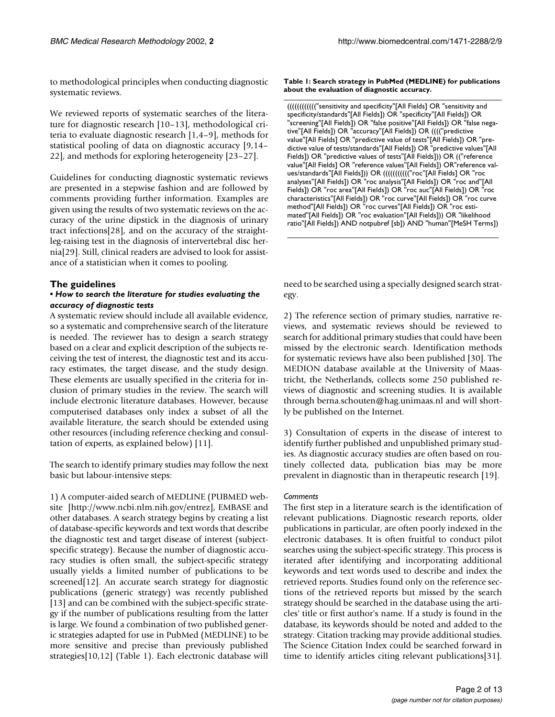to methodological principles when conducting diagnostic systematic reviews.

We reviewed reports of systematic searches of the literature for diagnostic research [10–13], methodological criteria to evaluate diagnostic research [1,4–9], methods for statistical pooling of data on diagnostic accuracy [9,14– 22], and methods for exploring heterogeneity [23–27].

Guidelines for conducting diagnostic systematic reviews are presented in a stepwise fashion and are followed by comments providing further information. Examples are given using the results of two systematic reviews on the accuracy of the urine dipstick in the diagnosis of urinary tract infections[28], and on the accuracy of the straightleg-raising test in the diagnosis of intervertebral disc hernia[29]. Still, clinical readers are advised to look for assistance of a statistician when it comes to pooling.

#### **The guidelines**

## *• How to search the literature for studies evaluating the accuracy of diagnostic tests*

A systematic review should include all available evidence, so a systematic and comprehensive search of the literature is needed. The reviewer has to design a search strategy based on a clear and explicit description of the subjects receiving the test of interest, the diagnostic test and its accuracy estimates, the target disease, and the study design. These elements are usually specified in the criteria for inclusion of primary studies in the review. The search will include electronic literature databases. However, because computerised databases only index a subset of all the available literature, the search should be extended using other resources (including reference checking and consultation of experts, as explained below) [11].

The search to identify primary studies may follow the next basic but labour-intensive steps:

1) A computer-aided search of MEDLINE (PUBMED website [http://www.ncbi.nlm.nih.gov/entrez], EMBASE and other databases. A search strategy begins by creating a list of database-specific keywords and text words that describe the diagnostic test and target disease of interest (subjectspecific strategy). Because the number of diagnostic accu[racy studies is often small, the subject-specific strategy](http://www.ncbi.nlm.nih.gov/entrez) usually yields a limited number of publications to be screened[12]. An accurate search strategy for diagnostic publications (generic strategy) was recently published [13] and can be combined with the subject-specific strategy if the number of publications resulting from the latter is large. We found a combination of two published generic strategies adapted for use in PubMed (MEDLINE) to be more sensitive and precise than previously published strategies[10,12] (Table 1). Each electronic database will

#### **Table 1: Search strategy in PubMed (MEDLINE) for publications about the evaluation of diagnostic accuracy.**

(((((((((((("sensitivity and specificity"[All Fields] OR "sensitivity and specificity/standards"[All Fields]) OR "specificity"[All Fields]) OR "screening"[All Fields]) OR "false positive"[All Fields]) OR "false negative"[All Fields]) OR "accuracy"[All Fields]) OR (((("predictive value"[All Fields] OR "predictive value of tests"[All Fields]) OR "predictive value of tests/standards"[All Fields]) OR "predictive values"[All Fields]) OR "predictive values of tests"[All Fields])) OR (("reference value"[All Fields] OR "reference values"[All Fields]) OR"reference values/standards"[All Fields])) OR ((((((((((("roc"[All Fields] OR "roc analyses"[All Fields]) OR "roc analysis"[All Fields]) OR "roc and"[All Fields]) OR "roc area"[All Fields]) OR "roc auc"[All Fields]) OR "roc characteristics"[All Fields]) OR "roc curve"[All Fields]) OR "roc curve method"[All Fields]) OR "roc curves"[All Fields]) OR "roc estimated"[All Fields]) OR "roc evaluation"[All Fields])) OR "likelihood ratio"[All Fields]) AND notpubref [sb]) AND "human"[MeSH Terms])

[need to be searched using a specially designed search strat](http://www.ncbi.nlm.nih.gov/entrez)egy.

2) The reference section of primary studies, narrative reviews, and systematic reviews should be reviewed to search for additional primary studies that could have been missed by the electronic search. Identification methods for systematic reviews have also been published [30]. The MEDION database available at the University of Maastricht, the Netherlands, collects some 250 published reviews of diagnostic and screening studies. It is available through berna.schouten@hag.unimaas.nl and will shortly be published on the Internet.

3) Consultation of experts in the disease of interest to identify further published and unpublished primary studies. As diagnostic accuracy studies are often based on routinely collected data, publication bias may be more prevalent in diagnostic than in therapeutic research [19].

#### *Comments*

The first step in a literature search is the identification of relevant publications. Diagnostic research reports, older publications in particular, are often poorly indexed in the electronic databases. It is often fruitful to conduct pilot searches using the subject-specific strategy. This process is iterated after identifying and incorporating additional keywords and text words used to describe and index the retrieved reports. Studies found only on the reference sections of the retrieved reports but missed by the search strategy should be searched in the database using the articles' title or first author's name. If a study is found in the database, its keywords should be noted and added to the strategy. Citation tracking may provide additional studies. The Science Citation Index could be searched forward in time to identify articles citing relevant publications[31].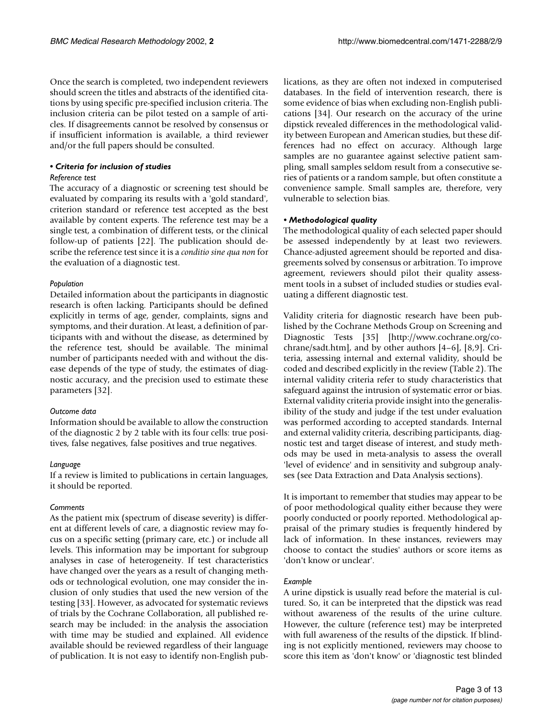Once the search is completed, two independent reviewers should screen the titles and abstracts of the identified citations by using specific pre-specified inclusion criteria. The inclusion criteria can be pilot tested on a sample of articles. If disagreements cannot be resolved by consensus or if insufficient information is available, a third reviewer and/or the full papers should be consulted.

# *• Criteria for inclusion of studies*

## *Reference test*

The accuracy of a diagnostic or screening test should be evaluated by comparing its results with a 'gold standard', criterion standard or reference test accepted as the best available by content experts. The reference test may be a single test, a combination of different tests, or the clinical follow-up of patients [22]. The publication should describe the reference test since it is a *conditio sine qua non* for the evaluation of a diagnostic test.

## *Population*

Detailed information about the participants in diagnostic research is often lacking. Participants should be defined explicitly in terms of age, gender, complaints, signs and symptoms, and their duration. At least, a definition of participants with and without the disease, as determined by the reference test, should be available. The minimal number of participants needed with and without the disease depends of the type of study, the estimates of diagnostic accuracy, and the precision used to estimate these parameters [32].

## *Outcome data*

Information should be available to allow the construction of the diagnostic 2 by 2 table with its four cells: true positives, false negatives, false positives and true negatives.

## *Language*

If a review is limited to publications in certain languages, it should be reported.

## *Comments*

As the patient mix (spectrum of disease severity) is different at different levels of care, a diagnostic review may focus on a specific setting (primary care, etc.) or include all levels. This information may be important for subgroup analyses in case of heterogeneity. If test characteristics have changed over the years as a result of changing methods or technological evolution, one may consider the inclusion of only studies that used the new version of the testing [33]. However, as advocated for systematic reviews of trials by the Cochrane Collaboration, all published research may be included: in the analysis the association with time may be studied and explained. All evidence available should be reviewed regardless of their language of publication. It is not easy to identify non-English publications, as they are often not indexed in computerised databases. In the field of intervention research, there is some evidence of bias when excluding non-English publications [34]. Our research on the accuracy of the urine dipstick revealed differences in the methodological validity between European and American studies, but these differences had no effect on accuracy. Although large samples are no guarantee against selective patient sampling, small samples seldom result from a consecutive series of patients or a random sample, but often constitute a convenience sample. Small samples are, therefore, very vulnerable to selection bias.

## *• Methodological quality*

The methodological quality of each selected paper should be assessed independently by at least two reviewers. Chance-adjusted agreement should be reported and disagreements solved by consensus or arbitration. To improve agreement, reviewers should pilot their quality assessment tools in a subset of included studies or studies evaluating a different diagnostic test.

[Validity criteria for diagnostic research have been pub](http://www.cochrane.org/cochrane/sadt.htm)lished by the Cochrane Methods Group on Screening and Diagnostic Tests [35] [http://www.cochrane.org/cochrane/sadt.htm], and by other authors [4–6], [8,9]. Criteria, assessing internal and external validity, should be coded and described explicitly in the review (Table 2). The internal validity criteria refer to study characteristics that safeguard against the intrusion of systematic error or bias. External validity criteria provide insight into the generalisibility of the study and judge if the test under evaluation was performed according to accepted standards. Internal and external validity criteria, describing participants, diagnostic test and target disease of interest, and study methods may be used in meta-analysis to assess the overall 'level of evidence' and in sensitivity and subgroup analyses (see Data Extraction and Data Analysis sections).

It is important to remember that studies may appear to be of poor methodological quality either because they were poorly conducted or poorly reported. Methodological appraisal of the primary studies is frequently hindered by lack of information. In these instances, reviewers may choose to contact the studies' authors or score items as 'don't know or unclear'.

## *Example*

A urine dipstick is usually read before the material is cultured. So, it can be interpreted that the dipstick was read without awareness of the results of the urine culture. However, the culture (reference test) may be interpreted with full awareness of the results of the dipstick. If blinding is not explicitly mentioned, reviewers may choose to score this item as 'don't know' or 'diagnostic test blinded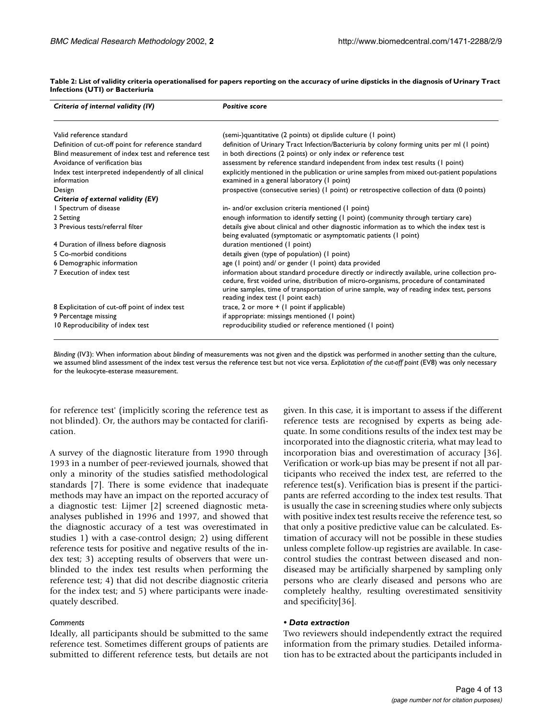**Table 2: List of validity criteria operationalised for papers reporting on the accuracy of urine dipsticks in the diagnosis of Urinary Tract Infections (UTI) or Bacteriuria**

| Criteria of internal validity (IV)                                  | <b>Positive score</b>                                                                                                                                                                                                                                                                                                    |  |  |
|---------------------------------------------------------------------|--------------------------------------------------------------------------------------------------------------------------------------------------------------------------------------------------------------------------------------------------------------------------------------------------------------------------|--|--|
| Valid reference standard                                            | (semi-)quantitative (2 points) ot dipslide culture (1 point)                                                                                                                                                                                                                                                             |  |  |
| Definition of cut-off point for reference standard                  | definition of Urinary Tract Infection/Bacteriuria by colony forming units per ml (1 point)                                                                                                                                                                                                                               |  |  |
| Blind measurement of index test and reference test                  | in both directions (2 points) or only index or reference test                                                                                                                                                                                                                                                            |  |  |
| Avoidance of verification bias                                      | assessment by reference standard independent from index test results (I point)                                                                                                                                                                                                                                           |  |  |
| Index test interpreted independently of all clinical<br>information | explicitly mentioned in the publication or urine samples from mixed out-patient populations<br>examined in a general laboratory (1 point)                                                                                                                                                                                |  |  |
| Design                                                              | prospective (consecutive series) (1 point) or retrospective collection of data (0 points)                                                                                                                                                                                                                                |  |  |
| Criteria of external validity (EV)                                  |                                                                                                                                                                                                                                                                                                                          |  |  |
| I Spectrum of disease                                               | in- and/or exclusion criteria mentioned (1 point)                                                                                                                                                                                                                                                                        |  |  |
| 2 Setting                                                           | enough information to identify setting (I point) (community through tertiary care)                                                                                                                                                                                                                                       |  |  |
| 3 Previous tests/referral filter                                    | details give about clinical and other diagnostic information as to which the index test is<br>being evaluated (symptomatic or asymptomatic patients (1 point)                                                                                                                                                            |  |  |
| 4 Duration of illness before diagnosis                              | duration mentioned (1 point)                                                                                                                                                                                                                                                                                             |  |  |
| 5 Co-morbid conditions                                              | details given (type of population) (1 point)                                                                                                                                                                                                                                                                             |  |  |
| 6 Demographic information                                           | age (I point) and/ or gender (I point) data provided                                                                                                                                                                                                                                                                     |  |  |
| 7 Execution of index test                                           | information about standard procedure directly or indirectly available, urine collection pro-<br>cedure, first voided urine, distribution of micro-organisms, procedure of contaminated<br>urine samples, time of transportation of urine sample, way of reading index test, persons<br>reading index test (1 point each) |  |  |
| 8 Explicitation of cut-off point of index test                      | trace, 2 or more $+$ (1 point if applicable)                                                                                                                                                                                                                                                                             |  |  |
| 9 Percentage missing                                                | if appropriate: missings mentioned (I point)                                                                                                                                                                                                                                                                             |  |  |
| 10 Reproducibility of index test                                    | reproducibility studied or reference mentioned (1 point)                                                                                                                                                                                                                                                                 |  |  |

*Blinding* (IV3): When information about *blinding* of measurements was not given and the dipstick was performed in another setting than the culture, we assumed blind assessment of the index test versus the reference test but not vice versa. *Explicitation of the cut-off point* (EV8) was only necessary for the leukocyte-esterase measurement.

for reference test' (implicitly scoring the reference test as not blinded). Or, the authors may be contacted for clarification.

A survey of the diagnostic literature from 1990 through 1993 in a number of peer-reviewed journals, showed that only a minority of the studies satisfied methodological standards [7]. There is some evidence that inadequate methods may have an impact on the reported accuracy of a diagnostic test: Lijmer [2] screened diagnostic metaanalyses published in 1996 and 1997, and showed that the diagnostic accuracy of a test was overestimated in studies 1) with a case-control design; 2) using different reference tests for positive and negative results of the index test; 3) accepting results of observers that were unblinded to the index test results when performing the reference test; 4) that did not describe diagnostic criteria for the index test; and 5) where participants were inadequately described.

#### *Comments*

Ideally, all participants should be submitted to the same reference test. Sometimes different groups of patients are submitted to different reference tests, but details are not given. In this case, it is important to assess if the different reference tests are recognised by experts as being adequate. In some conditions results of the index test may be incorporated into the diagnostic criteria, what may lead to incorporation bias and overestimation of accuracy [36]. Verification or work-up bias may be present if not all participants who received the index test, are referred to the reference test(s). Verification bias is present if the participants are referred according to the index test results. That is usually the case in screening studies where only subjects with positive index test results receive the reference test, so that only a positive predictive value can be calculated. Estimation of accuracy will not be possible in these studies unless complete follow-up registries are available. In casecontrol studies the contrast between diseased and nondiseased may be artificially sharpened by sampling only persons who are clearly diseased and persons who are completely healthy, resulting overestimated sensitivity and specificity[36].

## *• Data extraction*

Two reviewers should independently extract the required information from the primary studies. Detailed information has to be extracted about the participants included in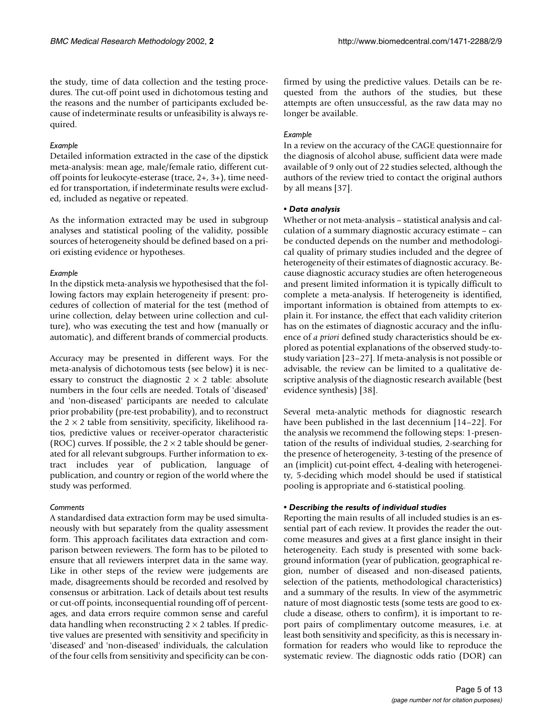the study, time of data collection and the testing procedures. The cut-off point used in dichotomous testing and the reasons and the number of participants excluded because of indeterminate results or unfeasibility is always required.

# *Example*

Detailed information extracted in the case of the dipstick meta-analysis: mean age, male/female ratio, different cutoff points for leukocyte-esterase (trace, 2+, 3+), time needed for transportation, if indeterminate results were excluded, included as negative or repeated.

As the information extracted may be used in subgroup analyses and statistical pooling of the validity, possible sources of heterogeneity should be defined based on a priori existing evidence or hypotheses.

# *Example*

In the dipstick meta-analysis we hypothesised that the following factors may explain heterogeneity if present: procedures of collection of material for the test (method of urine collection, delay between urine collection and culture), who was executing the test and how (manually or automatic), and different brands of commercial products.

Accuracy may be presented in different ways. For the meta-analysis of dichotomous tests (see below) it is necessary to construct the diagnostic  $2 \times 2$  table: absolute numbers in the four cells are needed. Totals of 'diseased' and 'non-diseased' participants are needed to calculate prior probability (pre-test probability), and to reconstruct the  $2 \times 2$  table from sensitivity, specificity, likelihood ratios, predictive values or receiver-operator characteristic (ROC) curves. If possible, the  $2 \times 2$  table should be generated for all relevant subgroups. Further information to extract includes year of publication, language of publication, and country or region of the world where the study was performed.

# *Comments*

A standardised data extraction form may be used simultaneously with but separately from the quality assessment form. This approach facilitates data extraction and comparison between reviewers. The form has to be piloted to ensure that all reviewers interpret data in the same way. Like in other steps of the review were judgements are made, disagreements should be recorded and resolved by consensus or arbitration. Lack of details about test results or cut-off points, inconsequential rounding off of percentages, and data errors require common sense and careful data handling when reconstructing  $2 \times 2$  tables. If predictive values are presented with sensitivity and specificity in 'diseased' and 'non-diseased' individuals, the calculation of the four cells from sensitivity and specificity can be confirmed by using the predictive values. Details can be requested from the authors of the studies, but these attempts are often unsuccessful, as the raw data may no longer be available.

# *Example*

In a review on the accuracy of the CAGE questionnaire for the diagnosis of alcohol abuse, sufficient data were made available of 9 only out of 22 studies selected, although the authors of the review tried to contact the original authors by all means [37].

# *• Data analysis*

Whether or not meta-analysis – statistical analysis and calculation of a summary diagnostic accuracy estimate – can be conducted depends on the number and methodological quality of primary studies included and the degree of heterogeneity of their estimates of diagnostic accuracy. Because diagnostic accuracy studies are often heterogeneous and present limited information it is typically difficult to complete a meta-analysis. If heterogeneity is identified, important information is obtained from attempts to explain it. For instance, the effect that each validity criterion has on the estimates of diagnostic accuracy and the influence of *a priori* defined study characteristics should be explored as potential explanations of the observed study-tostudy variation [23–27]. If meta-analysis is not possible or advisable, the review can be limited to a qualitative descriptive analysis of the diagnostic research available (best evidence synthesis) [38].

Several meta-analytic methods for diagnostic research have been published in the last decennium [14–22]. For the analysis we recommend the following steps: 1-presentation of the results of individual studies, 2-searching for the presence of heterogeneity, 3-testing of the presence of an (implicit) cut-point effect, 4-dealing with heterogeneity, 5-deciding which model should be used if statistical pooling is appropriate and 6-statistical pooling.

# *• Describing the results of individual studies*

Reporting the main results of all included studies is an essential part of each review. It provides the reader the outcome measures and gives at a first glance insight in their heterogeneity. Each study is presented with some background information (year of publication, geographical region, number of diseased and non-diseased patients, selection of the patients, methodological characteristics) and a summary of the results. In view of the asymmetric nature of most diagnostic tests (some tests are good to exclude a disease, others to confirm), it is important to report pairs of complimentary outcome measures, i.e. at least both sensitivity and specificity, as this is necessary information for readers who would like to reproduce the systematic review. The diagnostic odds ratio (DOR) can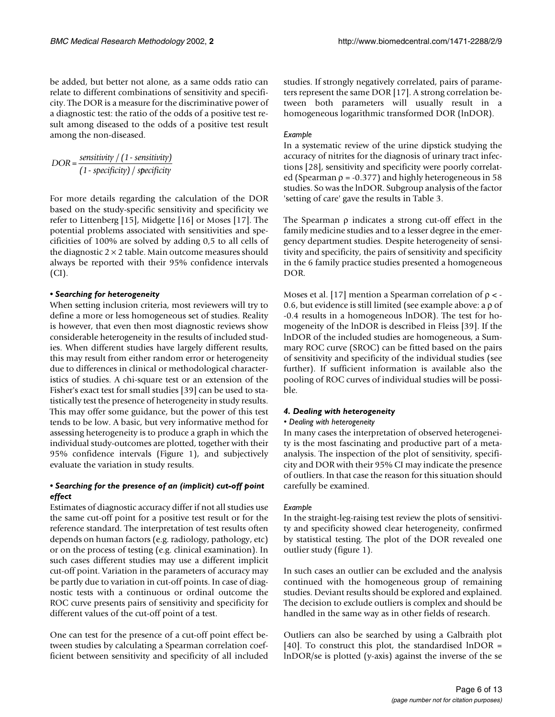be added, but better not alone, as a same odds ratio can relate to different combinations of sensitivity and specificity. The DOR is a measure for the discriminative power of a diagnostic test: the ratio of the odds of a positive test result among diseased to the odds of a positive test result among the non-diseased.

*DOR = sensitivity / (1 - sensitivity) (1 - specificity) / specificity*

For more details regarding the calculation of the DOR based on the study-specific sensitivity and specificity we refer to Littenberg [15], Midgette [16] or Moses [17]. The potential problems associated with sensitivities and specificities of 100% are solved by adding 0,5 to all cells of the diagnostic  $2 \times 2$  table. Main outcome measures should always be reported with their 95% confidence intervals (CI).

# *• Searching for heterogeneity*

When setting inclusion criteria, most reviewers will try to define a more or less homogeneous set of studies. Reality is however, that even then most diagnostic reviews show considerable heterogeneity in the results of included studies. When different studies have largely different results, this may result from either random error or heterogeneity due to differences in clinical or methodological characteristics of studies. A chi-square test or an extension of the Fisher's exact test for small studies [39] can be used to statistically test the presence of heterogeneity in study results. This may offer some guidance, but the power of this test tends to be low. A basic, but very informative method for assessing heterogeneity is to produce a graph in which the individual study-outcomes are plotted, together with their 95% confidence intervals (Figure [1\)](#page-6-0), and subjectively evaluate the variation in study results.

## *• Searching for the presence of an (implicit) cut-off point effect*

Estimates of diagnostic accuracy differ if not all studies use the same cut-off point for a positive test result or for the reference standard. The interpretation of test results often depends on human factors (e.g. radiology, pathology, etc) or on the process of testing (e.g. clinical examination). In such cases different studies may use a different implicit cut-off point. Variation in the parameters of accuracy may be partly due to variation in cut-off points. In case of diagnostic tests with a continuous or ordinal outcome the ROC curve presents pairs of sensitivity and specificity for different values of the cut-off point of a test.

One can test for the presence of a cut-off point effect between studies by calculating a Spearman correlation coefficient between sensitivity and specificity of all included

studies. If strongly negatively correlated, pairs of parameters represent the same DOR [17]. A strong correlation between both parameters will usually result in a homogeneous logarithmic transformed DOR (lnDOR).

# *Example*

In a systematic review of the urine dipstick studying the accuracy of nitrites for the diagnosis of urinary tract infections [28], sensitivity and specificity were poorly correlated (Spearman  $p = -0.377$ ) and highly heterogeneous in 58 studies. So was the lnDOR. Subgroup analysis of the factor 'setting of care' gave the results in Table 3.

The Spearman ρ indicates a strong cut-off effect in the family medicine studies and to a lesser degree in the emergency department studies. Despite heterogeneity of sensitivity and specificity, the pairs of sensitivity and specificity in the 6 family practice studies presented a homogeneous DOR.

Moses et al. [17] mention a Spearman correlation of  $\rho$  < -0.6, but evidence is still limited (see example above: a ρ of -0.4 results in a homogeneous lnDOR). The test for homogeneity of the lnDOR is described in Fleiss [39]. If the lnDOR of the included studies are homogeneous, a Summary ROC curve (SROC) can be fitted based on the pairs of sensitivity and specificity of the individual studies (see further). If sufficient information is available also the pooling of ROC curves of individual studies will be possible.

# *4. Dealing with heterogeneity*

# *• Dealing with heterogeneity*

In many cases the interpretation of observed heterogeneity is the most fascinating and productive part of a metaanalysis. The inspection of the plot of sensitivity, specificity and DOR with their 95% CI may indicate the presence of outliers. In that case the reason for this situation should carefully be examined.

# *Example*

In the straight-leg-raising test review the plots of sensitivity and specificity showed clear heterogeneity, confirmed by statistical testing. The plot of the DOR revealed one outlier study (figure [1\)](#page-6-0).

In such cases an outlier can be excluded and the analysis continued with the homogeneous group of remaining studies. Deviant results should be explored and explained. The decision to exclude outliers is complex and should be handled in the same way as in other fields of research.

Outliers can also be searched by using a Galbraith plot [40]. To construct this plot, the standardised  $lnDOR =$ lnDOR/se is plotted (y-axis) against the inverse of the se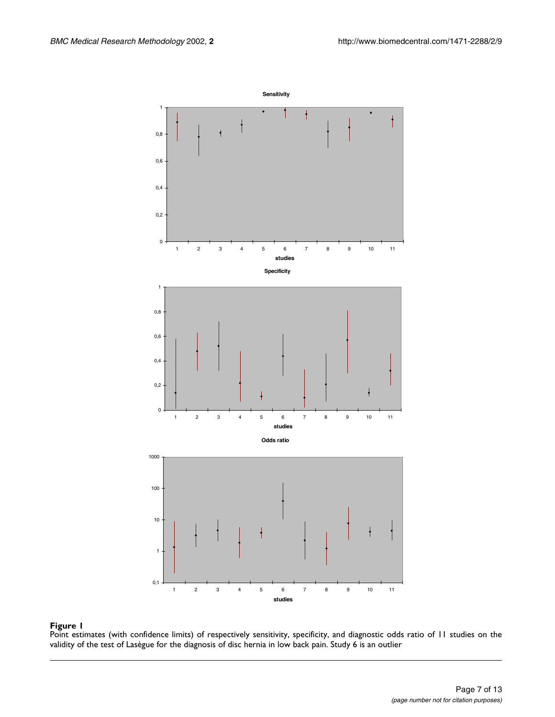

## <span id="page-6-0"></span>**Figure 1**

Point estimates (with confidence limits) of respectively sensitivity, specificity, and diagnostic odds ratio of 11 studies on the validity of the test of Lasègue for the diagnosis of disc hernia in low back pain. Study 6 is an outlier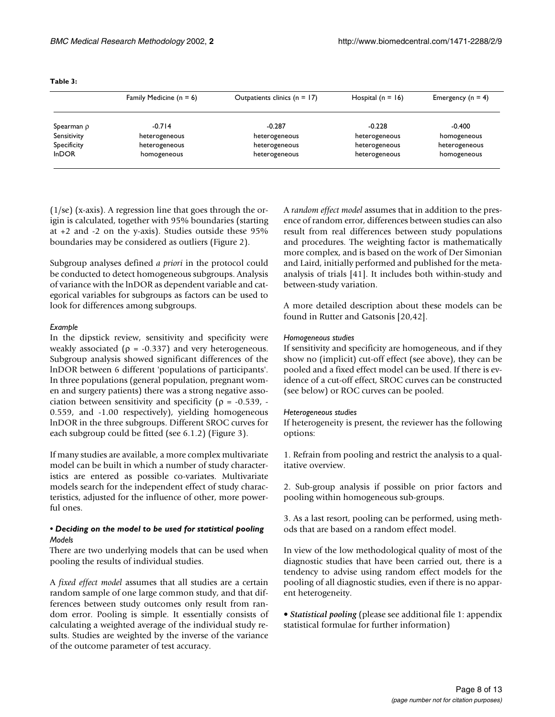|                 | Family Medicine ( $n = 6$ ) | Outpatients clinics ( $n = 17$ ) | Hospital ( $n = 16$ ) | Emergency ( $n = 4$ ) |
|-----------------|-----------------------------|----------------------------------|-----------------------|-----------------------|
| Spearman $\rho$ | $-0.714$                    | $-0.287$                         | $-0.228$              | $-0.400$              |
| Sensitivity     | heterogeneous               | heterogeneous                    | heterogeneous         | homogeneous           |
| Specificity     | heterogeneous               | heterogeneous                    | heterogeneous         | heterogeneous         |
| <b>InDOR</b>    | homogeneous                 | heterogeneous                    | heterogeneous         | homogeneous           |

#### **Table 3:**

(1/se) (x-axis). A regression line that goes through the origin is calculated, together with 95% boundaries (starting at +2 and -2 on the y-axis). Studies outside these 95% boundaries may be considered as outliers (Figure 2).

Subgroup analyses defined *a priori* in the protocol could be conducted to detect homogeneous subgroups. Analysis of variance with the lnDOR as dependent variable and categorical variables for subgroups as factors can be used to look for differences among subgroups.

## *Example*

In the dipstick review, sensitivity and specificity were weakly associated ( $\rho$  = -0.337) and very heterogeneous. Subgroup analysis showed significant differences of the lnDOR between 6 different 'populations of participants'. In three populations (general population, pregnant women and surgery patients) there was a strong negative association between sensitivity and specificity (ρ = -0.539, - 0.559, and -1.00 respectively), yielding homogeneous lnDOR in the three subgroups. Different SROC curves for each subgroup could be fitted (see 6.1.2) (Figure 3).

If many studies are available, a more complex multivariate model can be built in which a number of study characteristics are entered as possible co-variates. Multivariate models search for the independent effect of study characteristics, adjusted for the influence of other, more powerful ones.

## *• Deciding on the model to be used for statistical pooling Models*

There are two underlying models that can be used when pooling the results of individual studies.

A *fixed effect model* assumes that all studies are a certain random sample of one large common study, and that differences between study outcomes only result from random error. Pooling is simple. It essentially consists of calculating a weighted average of the individual study results. Studies are weighted by the inverse of the variance of the outcome parameter of test accuracy.

A *random effect model* assumes that in addition to the presence of random error, differences between studies can also result from real differences between study populations and procedures. The weighting factor is mathematically more complex, and is based on the work of Der Simonian and Laird, initially performed and published for the metaanalysis of trials [41]. It includes both within-study and between-study variation.

A more detailed description about these models can be found in Rutter and Gatsonis [20,42].

## *Homogeneous studies*

If sensitivity and specificity are homogeneous, and if they show no (implicit) cut-off effect (see above), they can be pooled and a fixed effect model can be used. If there is evidence of a cut-off effect, SROC curves can be constructed (see below) or ROC curves can be pooled.

#### *Heterogeneous studies*

If heterogeneity is present, the reviewer has the following options:

1. Refrain from pooling and restrict the analysis to a qualitative overview.

2. Sub-group analysis if possible on prior factors and pooling within homogeneous sub-groups.

3. As a last resort, pooling can be performed, using methods that are based on a random effect model.

In view of the low methodological quality of most of the diagnostic studies that have been carried out, there is a tendency to advise using random effect models for the pooling of all diagnostic studies, even if there is no apparent heterogeneity.

• *Statistical pooling* (please see additional file 1: appendix statistical formulae for further information)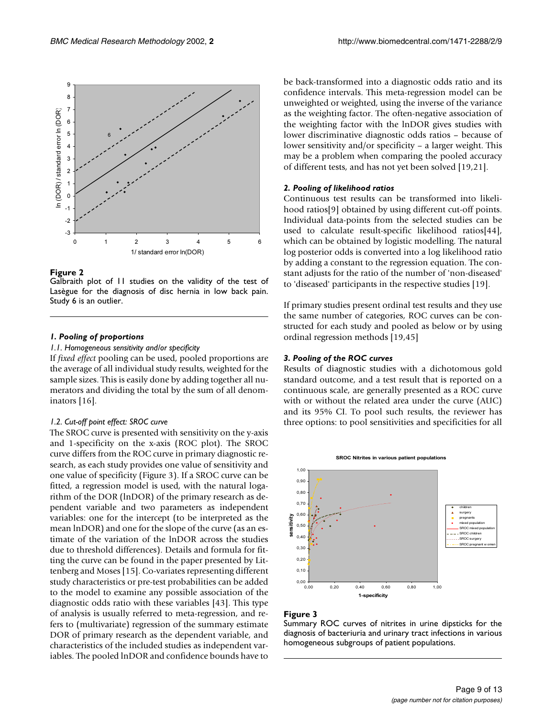

## **Figure 2**

Galbraith plot of 11 studies on the validity of the test of Lasègue for the diagnosis of disc hernia in low back pain. Study 6 is an outlier.

## *1. Pooling of proportions*

#### *1.1. Homogeneous sensitivity and/or specificity*

If *fixed effect* pooling can be used, pooled proportions are the average of all individual study results, weighted for the sample sizes. This is easily done by adding together all numerators and dividing the total by the sum of all denominators [16].

#### *1.2. Cut-off point effect: SROC curve*

The SROC curve is presented with sensitivity on the y-axis and 1-specificity on the x-axis (ROC plot). The SROC curve differs from the ROC curve in primary diagnostic research, as each study provides one value of sensitivity and one value of specificity (Figure 3). If a SROC curve can be fitted, a regression model is used, with the natural logarithm of the DOR (lnDOR) of the primary research as dependent variable and two parameters as independent variables: one for the intercept (to be interpreted as the mean lnDOR) and one for the slope of the curve (as an estimate of the variation of the lnDOR across the studies due to threshold differences). Details and formula for fitting the curve can be found in the paper presented by Littenberg and Moses [15]. Co-variates representing different study characteristics or pre-test probabilities can be added to the model to examine any possible association of the diagnostic odds ratio with these variables [43]. This type of analysis is usually referred to meta-regression, and refers to (multivariate) regression of the summary estimate DOR of primary research as the dependent variable, and characteristics of the included studies as independent variables. The pooled lnDOR and confidence bounds have to

be back-transformed into a diagnostic odds ratio and its confidence intervals. This meta-regression model can be unweighted or weighted, using the inverse of the variance as the weighting factor. The often-negative association of the weighting factor with the lnDOR gives studies with lower discriminative diagnostic odds ratios – because of lower sensitivity and/or specificity – a larger weight. This may be a problem when comparing the pooled accuracy of different tests, and has not yet been solved [19,21].

## *2. Pooling of likelihood ratios*

Continuous test results can be transformed into likelihood ratios[9] obtained by using different cut-off points. Individual data-points from the selected studies can be used to calculate result-specific likelihood ratios[44], which can be obtained by logistic modelling. The natural log posterior odds is converted into a log likelihood ratio by adding a constant to the regression equation. The constant adjusts for the ratio of the number of 'non-diseased' to 'diseased' participants in the respective studies [19].

If primary studies present ordinal test results and they use the same number of categories, ROC curves can be constructed for each study and pooled as below or by using ordinal regression methods [19,45]

#### *3. Pooling of the ROC curves*

Results of diagnostic studies with a dichotomous gold standard outcome, and a test result that is reported on a continuous scale, are generally presented as a ROC curve with or without the related area under the curve (AUC) and its 95% CI. To pool such results, the reviewer has three options: to pool sensitivities and specificities for all



#### **Figure 3**

Summary ROC curves of nitrites in urine dipsticks for the diagnosis of bacteriuria and urinary tract infections in various homogeneous subgroups of patient populations.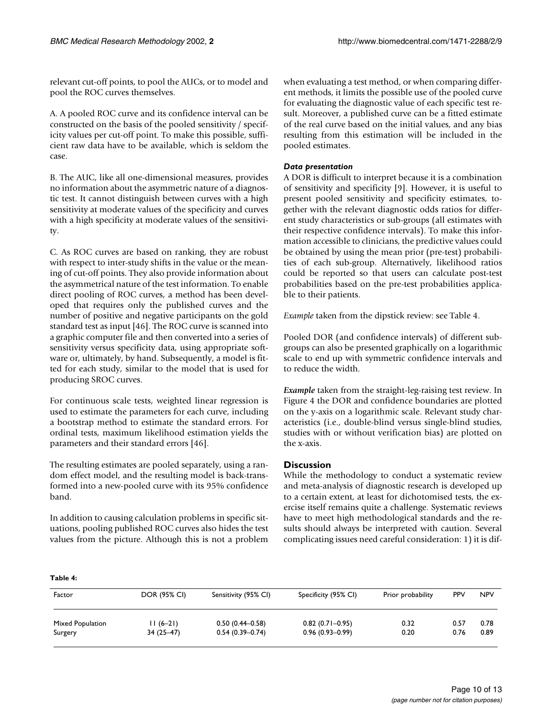relevant cut-off points, to pool the AUCs, or to model and pool the ROC curves themselves.

A. A pooled ROC curve and its confidence interval can be constructed on the basis of the pooled sensitivity / specificity values per cut-off point. To make this possible, sufficient raw data have to be available, which is seldom the case.

B. The AUC, like all one-dimensional measures, provides no information about the asymmetric nature of a diagnostic test. It cannot distinguish between curves with a high sensitivity at moderate values of the specificity and curves with a high specificity at moderate values of the sensitivity.

C. As ROC curves are based on ranking, they are robust with respect to inter-study shifts in the value or the meaning of cut-off points. They also provide information about the asymmetrical nature of the test information. To enable direct pooling of ROC curves, a method has been developed that requires only the published curves and the number of positive and negative participants on the gold standard test as input [46]. The ROC curve is scanned into a graphic computer file and then converted into a series of sensitivity versus specificity data, using appropriate software or, ultimately, by hand. Subsequently, a model is fitted for each study, similar to the model that is used for producing SROC curves.

For continuous scale tests, weighted linear regression is used to estimate the parameters for each curve, including a bootstrap method to estimate the standard errors. For ordinal tests, maximum likelihood estimation yields the parameters and their standard errors [46].

The resulting estimates are pooled separately, using a random effect model, and the resulting model is back-transformed into a new-pooled curve with its 95% confidence band.

In addition to causing calculation problems in specific situations, pooling published ROC curves also hides the test values from the picture. Although this is not a problem when evaluating a test method, or when comparing different methods, it limits the possible use of the pooled curve for evaluating the diagnostic value of each specific test result. Moreover, a published curve can be a fitted estimate of the real curve based on the initial values, and any bias resulting from this estimation will be included in the pooled estimates.

# *Data presentation*

A DOR is difficult to interpret because it is a combination of sensitivity and specificity [9]. However, it is useful to present pooled sensitivity and specificity estimates, together with the relevant diagnostic odds ratios for different study characteristics or sub-groups (all estimates with their respective confidence intervals). To make this information accessible to clinicians, the predictive values could be obtained by using the mean prior (pre-test) probabilities of each sub-group. Alternatively, likelihood ratios could be reported so that users can calculate post-test probabilities based on the pre-test probabilities applicable to their patients.

*Example* taken from the dipstick review: see Table [4](#page-9-0).

Pooled DOR (and confidence intervals) of different subgroups can also be presented graphically on a logarithmic scale to end up with symmetric confidence intervals and to reduce the width.

*Example* taken from the straight-leg-raising test review. In Figure 4 the DOR and confidence boundaries are plotted on the y-axis on a logarithmic scale. Relevant study characteristics (i.e., double-blind versus single-blind studies, studies with or without verification bias) are plotted on the x-axis.

# **Discussion**

<span id="page-9-0"></span>[While the methodology to conduct a systematic review](http://www.consort-statement.org/) and meta-analysis of diagnostic research is developed up to a certain extent, at least for dichotomised tests, the exercise itself remains quite a challenge. Systematic reviews have to meet high methodological standards and the results should always be interpreted with caution. Several [complicating issues need careful consideration: 1\) it is dif](http://www.consort-statement.org/)-

#### **Table 4:**

| Factor           | DOR (95% CI) | Sensitivity (95% CI) | Specificity (95% CI) | Prior probability | <b>PPV</b> | <b>NPV</b> |
|------------------|--------------|----------------------|----------------------|-------------------|------------|------------|
| Mixed Population | $11(6-21)$   | $0.50(0.44 - 0.58)$  | $0.82(0.71 - 0.95)$  | 0.32              | 0.57       | 0.78       |
| Surgery          | $34(25-47)$  | $0.54(0.39-0.74)$    | $0.96(0.93 - 0.99)$  | 0.20              | 0.76       | 0.89       |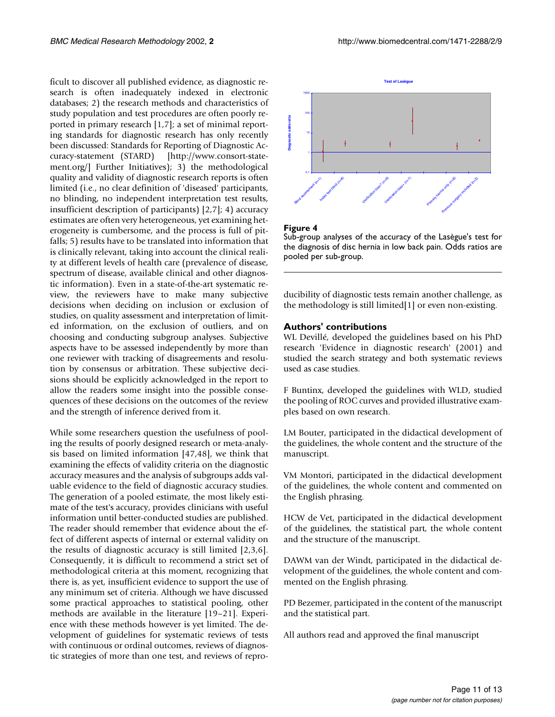ficult to discover all published evidence, as diagnostic research is often inadequately indexed in electronic databases; 2) the research methods and characteristics of study population and test procedures are often poorly re[ported in primary research \[1,7\]; a set of minimal report](http://www.consort-statement.org/)ing standards for diagnostic research has only recently been discussed: Standards for Reporting of Diagnostic Accuracy-statement (STARD) [http://www.consort-statement.org/] Further Initiatives); 3) the methodological quality and validity of diagnostic research reports is often limited (i.e., no clear definition of 'diseased' participants, no blinding, no independent interpretation test results, insufficient description of participants) [2,7]; 4) accuracy estimates are often very heterogeneous, yet examining heterogeneity is cumbersome, and the process is full of pitfalls; 5) results have to be translated into information that is clinically relevant, taking into account the clinical reality at different levels of health care (prevalence of disease, spectrum of disease, available clinical and other diagnostic information). Even in a state-of-the-art systematic review, the reviewers have to make many subjective decisions when deciding on inclusion or exclusion of studies, on quality assessment and interpretation of limited information, on the exclusion of outliers, and on choosing and conducting subgroup analyses. Subjective aspects have to be assessed independently by more than one reviewer with tracking of disagreements and resolution by consensus or arbitration. These subjective decisions should be explicitly acknowledged in the report to allow the readers some insight into the possible consequences of these decisions on the outcomes of the review and the strength of inference derived from it.

While some researchers question the usefulness of pooling the results of poorly designed research or meta-analysis based on limited information [47,48], we think that examining the effects of validity criteria on the diagnostic accuracy measures and the analysis of subgroups adds valuable evidence to the field of diagnostic accuracy studies. The generation of a pooled estimate, the most likely estimate of the test's accuracy, provides clinicians with useful information until better-conducted studies are published. The reader should remember that evidence about the effect of different aspects of internal or external validity on the results of diagnostic accuracy is still limited [2,3,6]. Consequently, it is difficult to recommend a strict set of methodological criteria at this moment, recognizing that there is, as yet, insufficient evidence to support the use of any minimum set of criteria. Although we have discussed some practical approaches to statistical pooling, other methods are available in the literature [19–21]. Experience with these methods however is yet limited. The development of guidelines for systematic reviews of tests with continuous or ordinal outcomes, reviews of diagnostic strategies of more than one test, and reviews of repro-



## **Figure 4**

Sub-group analyses of the accuracy of the Lasègue's test for the diagnosis of disc hernia in low back pain. Odds ratios are pooled per sub-group.

ducibility of diagnostic tests remain another challenge, as the methodology is still limited[1] or even non-existing.

## **Authors' contributions**

WL Devillé, developed the guidelines based on his PhD research 'Evidence in diagnostic research' (2001) and studied the search strategy and both systematic reviews used as case studies.

F Buntinx, developed the guidelines with WLD, studied the pooling of ROC curves and provided illustrative examples based on own research.

LM Bouter, participated in the didactical development of the guidelines, the whole content and the structure of the manuscript.

VM Montori, participated in the didactical development of the guidelines, the whole content and commented on the English phrasing.

HCW de Vet, participated in the didactical development of the guidelines, the statistical part, the whole content and the structure of the manuscript.

DAWM van der Windt, participated in the didactical development of the guidelines, the whole content and commented on the English phrasing.

PD Bezemer, participated in the content of the manuscript and the statistical part.

All authors read and approved the final manuscript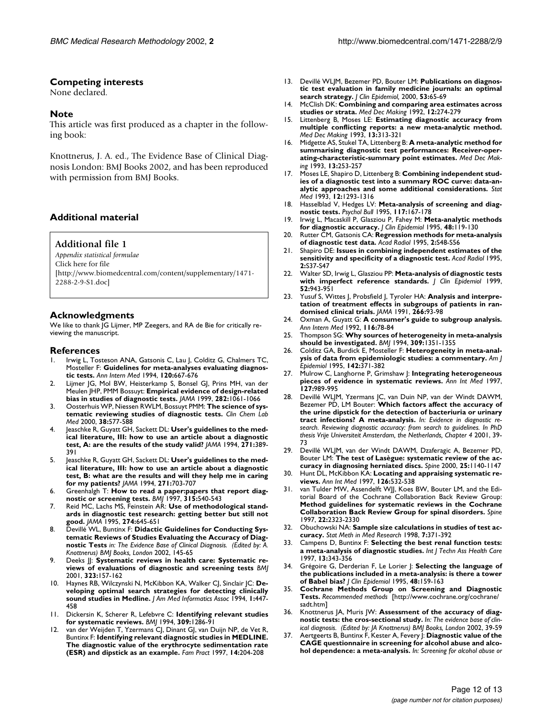## **Competing interests**

None declared.

## **Note**

This article was first produced as a chapter in the following book:

Knottnerus, J. A. ed., The Evidence Base of Clinical Diagnosis London: BMJ Books 2002, and has been reproduced with permission from BMJ Books.

## **Additional material**

## **Additional file 1**

*Appendix statistical formulae* [Click here for file](http://www.biomedcentral.com/content/supplementary/1471-2288-2-9-S1.doc) [\[http://www.biomedcentral.com/content/supplementary/1471-](http://www.biomedcentral.com/content/supplementary/1471-2288-2-9-S1.doc) 2288-2-9-S1.doc]

## **Acknowledgments**

We like to thank JG Lijmer, MP Zeegers, and RA de Bie for critically reviewing the manuscript.

## **References**

- Irwig L, Tosteson ANA, Gatsonis C, Lau J, Colditz G, Chalmers TC, [Mosteller F:](http://www.ncbi.nlm.nih.gov/entrez/query.fcgi?cmd=Retrieve&db=PubMed&dopt=Abstract&list_uids=8135452) **[Guidelines for meta-analyses evaluating diagnos](http://www.ncbi.nlm.nih.gov/entrez/query.fcgi?cmd=Retrieve&db=PubMed&dopt=Abstract&list_uids=8135452)[tic tests.](http://www.ncbi.nlm.nih.gov/entrez/query.fcgi?cmd=Retrieve&db=PubMed&dopt=Abstract&list_uids=8135452)** *Ann Intern Med* 1994, **120:**667-676
- 2. [Lijmer JG, Mol BW, Heisterkamp S, Bonsel GJ, Prins MH, van der](http://www.ncbi.nlm.nih.gov/entrez/query.fcgi?cmd=Retrieve&db=PubMed&dopt=Abstract&list_uids=10493205) [Meulen JHP, PMM Bossuyt:](http://www.ncbi.nlm.nih.gov/entrez/query.fcgi?cmd=Retrieve&db=PubMed&dopt=Abstract&list_uids=10493205) **[Empirical evidence of design-related](http://www.ncbi.nlm.nih.gov/entrez/query.fcgi?cmd=Retrieve&db=PubMed&dopt=Abstract&list_uids=10493205) [bias in studies of diagnostic tests.](http://www.ncbi.nlm.nih.gov/entrez/query.fcgi?cmd=Retrieve&db=PubMed&dopt=Abstract&list_uids=10493205)** *JAMA* 1999, **282:**1061-1066
- 3. [Oosterhuis WP, Niessen RWLM, Bossuyt PMM:](http://www.ncbi.nlm.nih.gov/entrez/query.fcgi?cmd=Retrieve&db=PubMed&dopt=Abstract&list_uids=11028761) **[The science of sys](http://www.ncbi.nlm.nih.gov/entrez/query.fcgi?cmd=Retrieve&db=PubMed&dopt=Abstract&list_uids=11028761)[tematic reviewing studies of diagnostic tests.](http://www.ncbi.nlm.nih.gov/entrez/query.fcgi?cmd=Retrieve&db=PubMed&dopt=Abstract&list_uids=11028761)** *Clin Chem Lab Med* 2000, **38:**577-588
- 4. [Jeaschke R, Guyatt GH, Sackett DL:](http://www.ncbi.nlm.nih.gov/entrez/query.fcgi?cmd=Retrieve&db=PubMed&dopt=Abstract&list_uids=8283589) **[User's guidelines to the med](http://www.ncbi.nlm.nih.gov/entrez/query.fcgi?cmd=Retrieve&db=PubMed&dopt=Abstract&list_uids=8283589)[ical literature, III: how to use an article about a diagnostic](http://www.ncbi.nlm.nih.gov/entrez/query.fcgi?cmd=Retrieve&db=PubMed&dopt=Abstract&list_uids=8283589) [test, A: are the results of the study valid?](http://www.ncbi.nlm.nih.gov/entrez/query.fcgi?cmd=Retrieve&db=PubMed&dopt=Abstract&list_uids=8283589)** *JAMA* 1994, **271:**389- 391
- 5. [Jeaschke R, Guyatt GH, Sackett DL:](http://www.ncbi.nlm.nih.gov/entrez/query.fcgi?cmd=Retrieve&db=PubMed&dopt=Abstract&list_uids=8309035) **[User's guidelines to the med](http://www.ncbi.nlm.nih.gov/entrez/query.fcgi?cmd=Retrieve&db=PubMed&dopt=Abstract&list_uids=8309035)[ical literature, III: how to use an article about a diagnostic](http://www.ncbi.nlm.nih.gov/entrez/query.fcgi?cmd=Retrieve&db=PubMed&dopt=Abstract&list_uids=8309035) test, B: what are the results and will they help me in caring [for my patients?](http://www.ncbi.nlm.nih.gov/entrez/query.fcgi?cmd=Retrieve&db=PubMed&dopt=Abstract&list_uids=8309035)** *JAMA* 1994, **271:**703-707
- 6. [Greenhalgh T:](http://www.ncbi.nlm.nih.gov/entrez/query.fcgi?cmd=Retrieve&db=PubMed&dopt=Abstract&list_uids=9329312) **[How to read a paper:papers that report diag](http://www.ncbi.nlm.nih.gov/entrez/query.fcgi?cmd=Retrieve&db=PubMed&dopt=Abstract&list_uids=9329312)[nostic or screening tests.](http://www.ncbi.nlm.nih.gov/entrez/query.fcgi?cmd=Retrieve&db=PubMed&dopt=Abstract&list_uids=9329312)** *BMJ* 1997, **315:**540-543
- 7. [Reid MC, Lachs MS, Feinstein AR:](http://www.ncbi.nlm.nih.gov/entrez/query.fcgi?cmd=Retrieve&db=PubMed&dopt=Abstract&list_uids=7637146) **[Use of methodological stand](http://www.ncbi.nlm.nih.gov/entrez/query.fcgi?cmd=Retrieve&db=PubMed&dopt=Abstract&list_uids=7637146)[ards in diagnostic test research: getting better but still not](http://www.ncbi.nlm.nih.gov/entrez/query.fcgi?cmd=Retrieve&db=PubMed&dopt=Abstract&list_uids=7637146) [good.](http://www.ncbi.nlm.nih.gov/entrez/query.fcgi?cmd=Retrieve&db=PubMed&dopt=Abstract&list_uids=7637146)** *JAMA* 1995, **274:**645-651
- 8. Devillé WL, Buntinx F: **Didactic Guidelines for Conducting Systematic Reviews of Studies Evaluating the Accuracy of Diagnostic Tests** *in: The Evidence Base of Clinical Diagnosis. (Edited by: A. Knottnerus) BMJ Books, London* 2002, 145-65
- 9. [Deeks JJ:](http://www.ncbi.nlm.nih.gov/entrez/query.fcgi?cmd=Retrieve&db=PubMed&dopt=Abstract&list_uids=11463691) **[Systematic reviews in health care: Systematic re](http://www.ncbi.nlm.nih.gov/entrez/query.fcgi?cmd=Retrieve&db=PubMed&dopt=Abstract&list_uids=11463691)[views of evaluations of diagnostic and screening tests](http://www.ncbi.nlm.nih.gov/entrez/query.fcgi?cmd=Retrieve&db=PubMed&dopt=Abstract&list_uids=11463691)** *BMJ* 2001, **323:**157-162
- 10. Haynes RB, Wilczynski N, McKibbon KA, Walker CJ, Sinclair JC: **Developing optimal search strategies for detecting clinically sound studies in Medline.** *J Am Med Informatics Assoc* 1994, **1:**447- 458
- 11. [Dickersin K, Scherer R, Lefebvre C:](http://www.ncbi.nlm.nih.gov/entrez/query.fcgi?cmd=Retrieve&db=PubMed&dopt=Abstract&list_uids=7718048) **[Identifying relevant studies](http://www.ncbi.nlm.nih.gov/entrez/query.fcgi?cmd=Retrieve&db=PubMed&dopt=Abstract&list_uids=7718048) [for systematic reviews.](http://www.ncbi.nlm.nih.gov/entrez/query.fcgi?cmd=Retrieve&db=PubMed&dopt=Abstract&list_uids=7718048)** *BMJ* 1994, **309:**1286-91
- 12. [van der Weijden T, Yzermans CJ, Dinant GJ, van Duijn NP, de Vet R,](http://www.ncbi.nlm.nih.gov/entrez/query.fcgi?cmd=Retrieve&db=PubMed&dopt=Abstract&list_uids=9201493) [Buntinx F:](http://www.ncbi.nlm.nih.gov/entrez/query.fcgi?cmd=Retrieve&db=PubMed&dopt=Abstract&list_uids=9201493) **[Identifying relevant diagnostic studies in MEDLINE.](http://www.ncbi.nlm.nih.gov/entrez/query.fcgi?cmd=Retrieve&db=PubMed&dopt=Abstract&list_uids=9201493) [The diagnostic value of the erythrocyte sedimentation rate](http://www.ncbi.nlm.nih.gov/entrez/query.fcgi?cmd=Retrieve&db=PubMed&dopt=Abstract&list_uids=9201493) [\(ESR\) and dipstick as an example.](http://www.ncbi.nlm.nih.gov/entrez/query.fcgi?cmd=Retrieve&db=PubMed&dopt=Abstract&list_uids=9201493)** *Fam Pract* 1997, **14:**204-208
- 13. [Devillé WLJM, Bezemer PD, Bouter LM:](http://www.ncbi.nlm.nih.gov/entrez/query.fcgi?cmd=Retrieve&db=PubMed&dopt=Abstract&list_uids=10693905) **[Publications on diagnos](http://www.ncbi.nlm.nih.gov/entrez/query.fcgi?cmd=Retrieve&db=PubMed&dopt=Abstract&list_uids=10693905)[tic test evaluation in family medicine journals: an optimal](http://www.ncbi.nlm.nih.gov/entrez/query.fcgi?cmd=Retrieve&db=PubMed&dopt=Abstract&list_uids=10693905) [search strategy.](http://www.ncbi.nlm.nih.gov/entrez/query.fcgi?cmd=Retrieve&db=PubMed&dopt=Abstract&list_uids=10693905)** *J Clin Epidemiol,* 2000, **53:**65-69
- 14. [McClish DK:](http://www.ncbi.nlm.nih.gov/entrez/query.fcgi?cmd=Retrieve&db=PubMed&dopt=Abstract&list_uids=1484476) **[Combining and comparing area estimates across](http://www.ncbi.nlm.nih.gov/entrez/query.fcgi?cmd=Retrieve&db=PubMed&dopt=Abstract&list_uids=1484476) [studies or strata.](http://www.ncbi.nlm.nih.gov/entrez/query.fcgi?cmd=Retrieve&db=PubMed&dopt=Abstract&list_uids=1484476)** *Med Dec Making* 1992, **12:**274-279
- 15. [Littenberg B, Moses LE:](http://www.ncbi.nlm.nih.gov/entrez/query.fcgi?cmd=Retrieve&db=PubMed&dopt=Abstract&list_uids=8246704) **[Estimating diagnostic accuracy from](http://www.ncbi.nlm.nih.gov/entrez/query.fcgi?cmd=Retrieve&db=PubMed&dopt=Abstract&list_uids=8246704) [multiple conflicting reports: a new meta-analytic method.](http://www.ncbi.nlm.nih.gov/entrez/query.fcgi?cmd=Retrieve&db=PubMed&dopt=Abstract&list_uids=8246704)** *Med Dec Making* 1993, **13:**313-321
- 16. [Midgette AS, Stukel TA, Littenberg B:](http://www.ncbi.nlm.nih.gov/entrez/query.fcgi?cmd=Retrieve&db=PubMed&dopt=Abstract&list_uids=8412556) **[A meta-analytic method for](http://www.ncbi.nlm.nih.gov/entrez/query.fcgi?cmd=Retrieve&db=PubMed&dopt=Abstract&list_uids=8412556) [summarising diagnostic test performances: Receiver-oper](http://www.ncbi.nlm.nih.gov/entrez/query.fcgi?cmd=Retrieve&db=PubMed&dopt=Abstract&list_uids=8412556)[ating-characteristic-summary point estimates.](http://www.ncbi.nlm.nih.gov/entrez/query.fcgi?cmd=Retrieve&db=PubMed&dopt=Abstract&list_uids=8412556)** *Med Dec Making* 1993, **13:**253-257
- 17. [Moses LE, Shapiro D, Littenberg B:](http://www.ncbi.nlm.nih.gov/entrez/query.fcgi?cmd=Retrieve&db=PubMed&dopt=Abstract&list_uids=8210827) **[Combining independent stud](http://www.ncbi.nlm.nih.gov/entrez/query.fcgi?cmd=Retrieve&db=PubMed&dopt=Abstract&list_uids=8210827)[ies of a diagnostic test into a summary ROC curve: data-an](http://www.ncbi.nlm.nih.gov/entrez/query.fcgi?cmd=Retrieve&db=PubMed&dopt=Abstract&list_uids=8210827)[alytic approaches and some additional considerations.](http://www.ncbi.nlm.nih.gov/entrez/query.fcgi?cmd=Retrieve&db=PubMed&dopt=Abstract&list_uids=8210827)** *Stat Med* 1993, **12:**1293-1316
- 18. [Hasselblad V, Hedges LV:](http://www.ncbi.nlm.nih.gov/entrez/query.fcgi?cmd=Retrieve&db=PubMed&dopt=Abstract&list_uids=7870860) **[Meta-analysis of screening and diag](http://www.ncbi.nlm.nih.gov/entrez/query.fcgi?cmd=Retrieve&db=PubMed&dopt=Abstract&list_uids=7870860)[nostic tests.](http://www.ncbi.nlm.nih.gov/entrez/query.fcgi?cmd=Retrieve&db=PubMed&dopt=Abstract&list_uids=7870860)** *Psychol Bull* 1995, **117:**167-178
- 19. [Irwig L, Macaskill P, Glasziou P, Fahey M:](http://www.ncbi.nlm.nih.gov/entrez/query.fcgi?cmd=Retrieve&db=PubMed&dopt=Abstract&list_uids=7853038) **[Meta-analytic methods](http://www.ncbi.nlm.nih.gov/entrez/query.fcgi?cmd=Retrieve&db=PubMed&dopt=Abstract&list_uids=7853038) [for diagnostic accuracy.](http://www.ncbi.nlm.nih.gov/entrez/query.fcgi?cmd=Retrieve&db=PubMed&dopt=Abstract&list_uids=7853038)** *J Clin Epidemiol* 1995, **48:**119-130
- 20. [Rutter CM, Gatsonis CA:](http://www.ncbi.nlm.nih.gov/entrez/query.fcgi?cmd=Retrieve&db=PubMed&dopt=Abstract&list_uids=9419705) **[Regression methods for meta-analysis](http://www.ncbi.nlm.nih.gov/entrez/query.fcgi?cmd=Retrieve&db=PubMed&dopt=Abstract&list_uids=9419705) [of diagnostic test data.](http://www.ncbi.nlm.nih.gov/entrez/query.fcgi?cmd=Retrieve&db=PubMed&dopt=Abstract&list_uids=9419705)** *Acad Radiol* 1995, **2:**S48-S56
- 21. [Shapiro DE:](http://www.ncbi.nlm.nih.gov/entrez/query.fcgi?cmd=Retrieve&db=PubMed&dopt=Abstract&list_uids=9419704) **[Issues in combining independent estimates of the](http://www.ncbi.nlm.nih.gov/entrez/query.fcgi?cmd=Retrieve&db=PubMed&dopt=Abstract&list_uids=9419704) [sensitivity and specificity of a diagnostic test.](http://www.ncbi.nlm.nih.gov/entrez/query.fcgi?cmd=Retrieve&db=PubMed&dopt=Abstract&list_uids=9419704)** *Acad Radiol* 1995, **2:**S37-S47
- 22. [Walter SD, Irwig L, Glasziou PP:](http://www.ncbi.nlm.nih.gov/entrez/query.fcgi?cmd=Retrieve&db=PubMed&dopt=Abstract&list_uids=10513757) **[Meta-analysis of diagnostic tests](http://www.ncbi.nlm.nih.gov/entrez/query.fcgi?cmd=Retrieve&db=PubMed&dopt=Abstract&list_uids=10513757) [with imperfect reference standards.](http://www.ncbi.nlm.nih.gov/entrez/query.fcgi?cmd=Retrieve&db=PubMed&dopt=Abstract&list_uids=10513757)** *J Clin Epidemiol* 1999, **52:**943-951
- 23. [Yusuf S, Wittes J, Probsfield J, Tyroler HA:](http://www.ncbi.nlm.nih.gov/entrez/query.fcgi?cmd=Retrieve&db=PubMed&dopt=Abstract&list_uids=2046134) **[Analysis and interpre](http://www.ncbi.nlm.nih.gov/entrez/query.fcgi?cmd=Retrieve&db=PubMed&dopt=Abstract&list_uids=2046134)[tation of treatment effects in subgroups of patients in ran](http://www.ncbi.nlm.nih.gov/entrez/query.fcgi?cmd=Retrieve&db=PubMed&dopt=Abstract&list_uids=2046134)[domised clinical trials.](http://www.ncbi.nlm.nih.gov/entrez/query.fcgi?cmd=Retrieve&db=PubMed&dopt=Abstract&list_uids=2046134)** *JAMA* 1991, **266:**93-98
- 24. [Oxman A, Guyatt G:](http://www.ncbi.nlm.nih.gov/entrez/query.fcgi?cmd=Retrieve&db=PubMed&dopt=Abstract&list_uids=1530753) **[A consumer's guide to subgroup analysis.](http://www.ncbi.nlm.nih.gov/entrez/query.fcgi?cmd=Retrieve&db=PubMed&dopt=Abstract&list_uids=1530753)** *Ann Intern Med* 1992, **116:**78-84
- 25. [Thompson SG:](http://www.ncbi.nlm.nih.gov/entrez/query.fcgi?cmd=Retrieve&db=PubMed&dopt=Abstract&list_uids=7866085) **[Why sources of heterogeneity in meta-analysis](http://www.ncbi.nlm.nih.gov/entrez/query.fcgi?cmd=Retrieve&db=PubMed&dopt=Abstract&list_uids=7866085) [should be investigated.](http://www.ncbi.nlm.nih.gov/entrez/query.fcgi?cmd=Retrieve&db=PubMed&dopt=Abstract&list_uids=7866085)** *BMJ* 1994, **309:**1351-1355
- 26. [Colditz GA, Burdick E, Mosteller F:](http://www.ncbi.nlm.nih.gov/entrez/query.fcgi?cmd=Retrieve&db=PubMed&dopt=Abstract&list_uids=7625401) [Heterogeneity in meta-anal](http://www.ncbi.nlm.nih.gov/entrez/query.fcgi?cmd=Retrieve&db=PubMed&dopt=Abstract&list_uids=7625401)**[ysis of data from epidemiologic studies: a commentary.](http://www.ncbi.nlm.nih.gov/entrez/query.fcgi?cmd=Retrieve&db=PubMed&dopt=Abstract&list_uids=7625401)** *Am J Epidemiol* 1995, **142:**371-382
- 27. [Mulrow C, Langhorne P, Grimshaw J:](http://www.ncbi.nlm.nih.gov/entrez/query.fcgi?cmd=Retrieve&db=PubMed&dopt=Abstract&list_uids=9412305) **[Integrating heterogeneous](http://www.ncbi.nlm.nih.gov/entrez/query.fcgi?cmd=Retrieve&db=PubMed&dopt=Abstract&list_uids=9412305) [pieces of evidence in systematic reviews.](http://www.ncbi.nlm.nih.gov/entrez/query.fcgi?cmd=Retrieve&db=PubMed&dopt=Abstract&list_uids=9412305)** *Ann Int Med* 1997, **127:**989-995
- 28. Devillé WLJM, Yzermans JC, van Duin NP, van der Windt DAWM, Bezemer PD, LM Bouter: **Which factors affect the accuracy of the urine dipstick for the detection of bacteriuria or urinary tract infections? A meta-analysis.** *In: Evidence in diagnostic research. Reviewing diagnostic accuracy: from search to guidelines. In PhD thesis Vrije Universiteit Amsterdam, the Netherlands, Chapter 4* 2001, 39- 73
- 29. [Devillé WLJM, van der Windt DAWM, Dzaferagic A, Bezemer PD,](http://www.ncbi.nlm.nih.gov/entrez/query.fcgi?cmd=Retrieve&db=PubMed&dopt=Abstract&list_uids=10788860) [Bouter LM:](http://www.ncbi.nlm.nih.gov/entrez/query.fcgi?cmd=Retrieve&db=PubMed&dopt=Abstract&list_uids=10788860) **[The test of Lasègue: systematic review of the ac](http://www.ncbi.nlm.nih.gov/entrez/query.fcgi?cmd=Retrieve&db=PubMed&dopt=Abstract&list_uids=10788860)[curacy in diagnosing herniated discs.](http://www.ncbi.nlm.nih.gov/entrez/query.fcgi?cmd=Retrieve&db=PubMed&dopt=Abstract&list_uids=10788860)** *Spine* 2000, **25:**1140-1147
- 30. [Hunt DL, McKibbon KA:](http://www.ncbi.nlm.nih.gov/entrez/query.fcgi?cmd=Retrieve&db=PubMed&dopt=Abstract&list_uids=9092319) [Locating and appraising systematic re](http://www.ncbi.nlm.nih.gov/entrez/query.fcgi?cmd=Retrieve&db=PubMed&dopt=Abstract&list_uids=9092319)**[views.](http://www.ncbi.nlm.nih.gov/entrez/query.fcgi?cmd=Retrieve&db=PubMed&dopt=Abstract&list_uids=9092319)** *Ann Int Med* 1997, **126:**532-538
- 31. [van Tulder MW, Assendelft WJJ, Koes BW, Bouter LM, and the Edi](http://www.ncbi.nlm.nih.gov/entrez/query.fcgi?cmd=Retrieve&db=PubMed&dopt=Abstract&list_uids=9355211)[torial Board of the Cochrane Collaboration Back Review Group:](http://www.ncbi.nlm.nih.gov/entrez/query.fcgi?cmd=Retrieve&db=PubMed&dopt=Abstract&list_uids=9355211) **[Method guidelines for systematic reviews in the Cochrane](http://www.ncbi.nlm.nih.gov/entrez/query.fcgi?cmd=Retrieve&db=PubMed&dopt=Abstract&list_uids=9355211) [Collaboration Back Review Group for spinal disorders.](http://www.ncbi.nlm.nih.gov/entrez/query.fcgi?cmd=Retrieve&db=PubMed&dopt=Abstract&list_uids=9355211)** *Spine* 1997, **22:**2323-2330
- 32. Obuchowski NA: **Sample size calculations in studies of test accuracy.** *Stat Meth in Med Research* 1998, **7:**371-392
- 33. [Campens D, Buntinx F:](http://www.ncbi.nlm.nih.gov/entrez/query.fcgi?cmd=Retrieve&db=PubMed&dopt=Abstract&list_uids=9194355) **[Selecting the best renal function tests:](http://www.ncbi.nlm.nih.gov/entrez/query.fcgi?cmd=Retrieve&db=PubMed&dopt=Abstract&list_uids=9194355) [a meta-analysis of diagnostic studies.](http://www.ncbi.nlm.nih.gov/entrez/query.fcgi?cmd=Retrieve&db=PubMed&dopt=Abstract&list_uids=9194355)** *Int J Techn Ass Health Care* 1997, **13:**343-356
- 34. [Grégoire G, Derderian F, Le Lorier J:](http://www.ncbi.nlm.nih.gov/entrez/query.fcgi?cmd=Retrieve&db=PubMed&dopt=Abstract&list_uids=7853041) **[Selecting the language of](http://www.ncbi.nlm.nih.gov/entrez/query.fcgi?cmd=Retrieve&db=PubMed&dopt=Abstract&list_uids=7853041) [the publications included in a meta-analysis: is there a tower](http://www.ncbi.nlm.nih.gov/entrez/query.fcgi?cmd=Retrieve&db=PubMed&dopt=Abstract&list_uids=7853041) [of Babel bias?](http://www.ncbi.nlm.nih.gov/entrez/query.fcgi?cmd=Retrieve&db=PubMed&dopt=Abstract&list_uids=7853041)** *J Clin Epidemiol* 1995, **48:**159-163
- 35. **Cochrane Methods Group on Screening and Diagnostic Tests.** *Recommended methods* [\[http://www.cochrane.org/cochrane/](http://www.cochrane.org/cochrane/sadt.htm) [sadt.htm\]](http://www.cochrane.org/cochrane/sadt.htm)
- 36. Knottnerus JA, Muris JW: **Assessment of the accuracy of diagnostic tests: the cros-sectional study.** *In: The evidence base of clinical diagnosis. (Edited by: JA Knottnerus) BMJ Books, London* 2002, 39-59
- 37. Aertgeerts B, Buntinx F, Kester A, Fevery J: **Diagnostic value of the CAGE questionnaire in screening for alcohol abuse and alcohol dependence: a meta-analysis.** *In: Screening for alcohol abuse or*